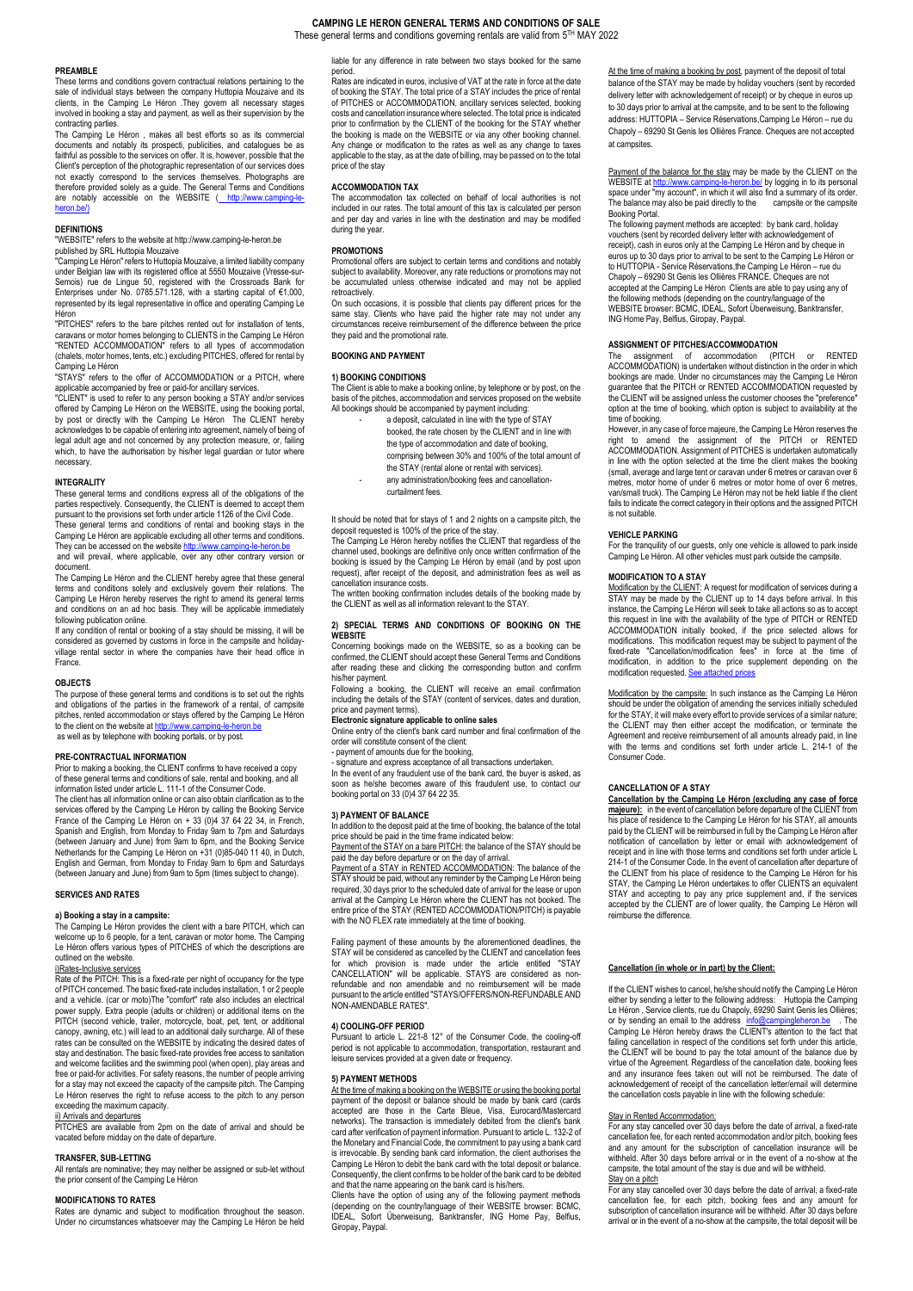# **CAMPING LE HERON GENERAL TERMS AND CONDITIONS OF SALE** These general terms and conditions governing rentals are valid from 5TH MAY 2022

# **PREAMBLE**

These terms and conditions govern contractual relations pertaining to the sale of individual stays between the company Huttopia Mouzaive and its clients, in the Camping Le Héron .They govern all necessary stages involved in booking a stay and payment, as well as their supervision by the

contracting parties. The Camping Le Héron , makes all best efforts so as its commercial documents and notably its prospecti, publicities, and catalogues be as faithful as possible to the services on offer. It is, however, possible that the Client's perception of the photographic representation of our services does not exactly correspond to the services themselves. Photographs are therefore provided solely as a guide. The General Terms and Conditions<br>are notably accessible on the WEBSITE <u>( http://www.camping-le-</u> heron.he/

# **DEFINITIONS**

"WEBSITE" refers to the website at http://www.camping-le-heron.be<br>published by SRL Huttopia Mouzaive<br>"Camping Le Héron" refers to Huttopia Mouzaive, a limited liability company<br>under Belgian law with its registered office Semois) rue de Lingue 50, registered with the Crossroads Bank for Enterprises under No. 0785.571.128, with a starting capital of €1,000, represented by its legal representative in office and operating Camping Le Héron "PITCHES" refers to the bare pitches rented out for installation of tents,

caravans or motor homes belonging to CLIENTS in the Camping Le Héron "RENTED ACCOMMODATION" refers to all types of accommodation (chalets, motor homes, tents, etc.) excluding PITCHES, offered for rental by

Camping Le Héron<br>"STAYS" refers to the offer of ACCOMMODATION or a PITCH, where

"STAYS" refers to the offer of ACCOMMODATION or a PITCH, where<br>applicable accompanied by free or paid-for ancillary services.<br>"CLIENT" is used to refer to any person booking a STAY and/or services<br>offered by Camping Le Hér necessary.

#### **INTEGRALITY**

These general terms and conditions express all of the obligations of the parties respectively. Consequently, the CLIENT is deemed to accept them pursuant to the provisions set forth under article 1126 of the Civil Code. These general terms and conditions of rental and booking stays in the

Camping Le Héron are applicable excluding all other terms and conditions.<br>They can be accessed on the website <u>http://www.camping-le-heron.be</u> and will prevail, where applicable, over any other contrary version or document.

The Camping Le Héron and the CLIENT hereby agree that these general terms and conditions solely and exclusively govern their relations. The Camping Le Héron hereby reserves the right to amend its general terms and conditions on an ad hoc basis. They will be applicable immediately following publication online.

If any condition of rental or booking of a stay should be missing, it will be considered as governed by customs in force in the campsite and holidayvillage rental sector in where the companies have their head office in **France** 

#### **OBJECTS**

The purpose of these general terms and conditions is to set out the rights and obligations of the parties in the framework of a rental, of campsite pitches, rented accommodation or stays offered by the Camping Le Héron to the client on the website a[t http://www.camping-le-heron.be](http://www.camping-le-heron.be/)<br>as well as by telephone with booking portals, or by post.

# **PRE-CONTRACTUAL INFORMATION**

Prior to making a booking, the CLIENT confirms to have received a copy of these general terms and conditions of sale, rental and booking, and all information listed under article L. 111-1 of the Consumer Code.

The client has all information online or can also obtain clarification as to the services offered by the Camping Le Héron by calling the Booking Service France of the Camping Le Héron on + 33 (0)4 37 64 22 34, in French, Spanish and English, from Monday to Friday 9am to 7pm and Saturdays (between January and June) from 9am to 6pm, and the Booking Service Netherlands for the Camping Le Héron on +31 (0)85-040 11 40, in Dutch, English and German, from Monday to Friday 9am to 6pm and Saturdays veen January and June) from 9am to 5pm (times subject to change).

#### **SERVICES AND RATES**

# **a) Booking a stay in a campsite:**

The Camping Le Héron provides the client with a bare PITCH, which can welcome up to 6 people, for a tent, caravan or motor home. The Camping Le Héron offers various types of PITCHES of which the descriptions are outlined on the website.

i)Rates-Inclusive services Rate of the PITCH: This is a fixed-rate per night of occupancy for the type of PITCH concerned. The basic fixed-rate includes installation, 1 or 2 people and a vehicle. (car or moto)The "comfort" rate also includes an electrical power supply. Extra people (adults or children) or additional items on the power supply. Extra people (adults or children) or additional items on the PITCH (second vehicle, trailer, motorcycle, boat, pet, tent, or additional canopy, awning, etc.) will lead to an additional daily surcharge. All of these rates can be consulted on the WEBSITE by indicating the desired dates of stay and destination. The basic fixed-rate provides free access to sanitation and welcome facilities and the swimming pool (when open), play areas and free or paid-for activities. For safety reasons, the number of people arriving for a stay may not exceed the capacity of the campsite pitch. The Camping Le Héron reserves the right to refuse access to the pitch to any person exceeding the maximum capacity.

i<u>i) Arrivals and departures</u><br>PITCHES are available from 2pm on the date of arrival and should be ricto are available from zpm on the date<br>ted before midday on the date of departure.

#### **TRANSFER, SUB-LETTING**

All rentals are nominative; they may neither be assigned or sub-let without the prior consent of the Camping Le Héron

#### **MODIFICATIONS TO RATES**

Rates are dynamic and subject to modification throughout the season. Under no circumstances whatsoever may the Camping Le Héron be held

liable for any difference in rate between two stays booked for the same period. Rates are indicated in euros, inclusive of VAT at the rate in force at the date

of booking the STAY. The total price of a STAY includes the price of rental of PITCHES or ACCOMMODATION, ancillary services selected, booking costs and cancellation insurance where selected. The total price is indicated prior to confirmation by the CLIENT of the booking for the STAY whether the booking is made on the WEBSITE or via any other booking channel. Any change or modification to the rates as well as any change to taxes applicable to the stay, as at the date of billing, may be passed on to the total price of the stay

# **ACCOMMODATION TAX**

The accommodation tax collected on behalf of local authorities is not included in our rates. The total amount of this tax is calculated per person and per day and varies in line with the destination and may be modified during the year.

#### **PROMOTIONS**

Promotional offers are subject to certain terms and conditions and notably subject to availability. Moreover, any rate reductions or promotions may not be accumulated unless otherwise indicated and may not be applied retroactively.

On such occasions, it is possible that clients pay different prices for the same stay. Clients who have paid the higher rate may not under any circumstances receive reimbursement of the difference between the price they paid and the promotional rate.

#### **BOOKING AND PAYMENT**

#### **1) BOOKING CONDITIONS**

The Client is able to make a booking online, by telephone or by post, on the basis of the pitches, accommodation and services proposed on the website All bookings should be accompanied by payment including: - a deposit, calculated in line with the type of STAY

- booked, the rate chosen by the CLIENT and in line with
- the type of accommodation and date of booking,
- comprising between 30% and 100% of the total amount of
- the STAY (rental alone or rental with services). any administration/booking fees and cancellation-
- curtailment fees.

It should be noted that for stays of 1 and 2 nights on a campsite pitch, the deposit requested is 100% of the price of the stay.

The Camping Le Héron hereby notifies the CLIENT that regardless of the channel used, bookings are definitive only once written confirmation of the booking is issued by the Camping Le Héron by email (and by post upon request), after receipt of the deposit, and administration fees as well as cancellation insurance costs.

The written booking confirmation includes details of the booking made by the CLIENT as well as all information relevant to the STAY

#### **2) SPECIAL TERMS AND CONDITIONS OF BOOKING ON THE WEBSITE**

Concerning bookings made on the WEBSITE, so as a booking can be confirmed, the CLIENT should accept these General Terms and Conditions after reading these and clicking the corresponding button and confirm his/her payment.

Following a booking, the CLIENT will receive an email confirmation including the details of the STAY (content of services, dates and duration,

# price and payment terms).

**Electronic signature applicable to online sales** Online entry of the client's bank card number and final confirmation of the order will constitute consent of the client:

- payment of amounts due for the booking, - signature and express acceptance of all transactions undertaken.

In the event of any fraudulent use of the bank card, the buyer is asked, as soon as he/she becomes aware of this fraudulent use, to contact our booking portal on 33 (0)4 37 64 22 35.

# **3) PAYMENT OF BALANCE**

In addition to the deposit paid at the time of booking, the balance of the total price should be paid in the time frame indicated below:<br>Payment of the STAY on a bare PITCH: the balance of the STAY should be

paid the day before departure or on the day of arrival. Payment of a STAY in RENTED ACCOMMODATION: The balance of the

STAY should be paid, without any reminder by the Camping Le Héron being required, 30 days prior to the scheduled date of arrival for the lease or upon arrival at the Camping Le Héron where the CLIENT has not booked. The entire price of the STAY (RENTED ACCOMMODATION/PITCH) is payable with the NO FLEX rate immediately at the time of booking.

Failing payment of these amounts by the aforementioned deadlines, the STAY will be considered as cancelled by the CLIENT and cancellation fees for which provision is made under the article entitled "STAY CANCELLATION" will be applicable. STAYS are considered as nonrefundable and non amendable and no reimbursement will be made pursuant to the article entitled "STAYS/OFFERS/NON-REFUNDABLE AND NON-AMENDABLE RATES".

#### **4) COOLING-OFF PERIOD**

Pursuant to article L. 221-8 12° of the Consumer Code, the cooling-off period is not applicable to accommodation, transportation, restaurant and leisure services provided at a given date or frequency.

#### **5) PAYMENT METHODS**

At the time of making a booking on the WEBSITE or using the booking portal payment of the deposit or balance should be made by bank card (cards accepted are those in the Carte Bleue, Visa, Eurocard/Mastercard networks). The transaction is immediately debited from the client's bank card after verification of payment information. Pursuant to article L. 132-2 of the Monetary and Financial Code, the commitment to pay using a bank card is irrevocable. By sending bank card information, the client authorises the Camping Le Héron to debit the bank card with the total deposit or balance. Consequently, the client confirms to be holder of the bank card to be debited

and that the name appearing on the bank card is his/hers.<br>Clients have the option of using any of the following payment methods<br>(depending on the country/language of their WEBSITE browser: BCMC,<br>(DEAL, Sofort Überweisung, Giropay, Paypal.

At the time of making a booking by post, payment of the deposit of total balance of the STAY may be made by holiday vouchers (sent by recorded delivery letter with acknowledgement of receipt) or by cheque in euros up to 30 days prior to arrival at the campsite, and to be sent to the following address: HUTTOPIA – Service Réservations,Camping Le Héron – rue du Chapoly – 69290 St Genis les Ollières France. Cheques are not accepted at campsites.

Payment of the balance for the stay may be made by the CLIENT on the<br>WEBSITE at <u>http://www.camping-le-heron.be/</u> by logging in to its personal<br>space under "my account", in which it will also find a summary of its order. The balance may also be paid directly to the campsite or the campsite Booking Portal.

The following payment methods are accepted: by bank card, holiday vouchers (sent by recorded delivery letter with acknowledgement of receipt), cash in euros only at the Camping Le Héron and by cheque in euros up to 30 days prior to arrival to be sent to the Camping Le Héron or to HUTTOPIA - Service Réservations,the Camping Le Héron – rue du Chapoly – 69290 St Genis les Ollières FRANCE. Cheques are not accepted at the Camping Le Héron Clients are able to pay using any of the following methods (depending on the country/language of the WEBSITE browser: BCMC, IDEAL, Sofort Überweisung, Banktransfer, ING Home Pay, Belfius, Giropay, Paypal.

# **ASSIGNMENT OF PITCHES/ACCOMMODATION**

The assignment of accommodation (PITCH or RENTED<br>ACCOMMODATION) is undertaken without distinction in the order in which bookings are made. Under no circumstances may the Camping Le Héron guarantee that the PITCH or RENTED ACCOMMODATION requested by the CLIENT will be assigned unless the customer chooses the "preference" option at the time of booking, which option is subject to availability at the time of booking.

However, in any case of force majeure, the Camping Le Héron reserves the right to amend the assignment of the PITCH or RENTED ACCOMMODATION. Assignment of PITCHES is undertaken automatically in line with the option selected at the time the client makes the booking (small, average and large tent or caravan under 6 metres or caravan over 6 metres, motor home of under 6 metres or motor home of over 6 metres, van/small truck). The Camping Le Héron may not be held liable if the client fails to indicate the correct category in their options and the assigned PITCH is not suitable.

# **VEHICLE PARKING**

For the tranquility of our guests, only one vehicle is allowed to park inside Camping Le Héron. All other vehicles must park outside the campsite.

#### **MODIFICATION TO A STAY**

Modification by the CLIENT: A request for modification of services during a STAY may be made by the CLIENT up to 14 days before arrival. In this instance, the Camping Le Héron will seek to take all actions so as to accept this request in line with the availability of the type of PITCH or RENTED ACCOMMODATION initially booked, if the price selected allows for modifications. This modification request may be subject to payment of the fixed-rate "Cancellation/modification fees" in force at the time of modification, in addition to the price supplement depending on the modification requested. See at

Modification by the campsite: In such instance as the Camping Le Héron should be under the obligation of amending the services initially scheduled for the STAY, it will make every effort to provide services of a similar nature; the CLIENT may then either accept the modification, or terminate the Agreement and receive reimbursement of all amounts already paid, in line with the terms and conditions set forth under article L. 214-1 of the Consumer Code.

#### **CANCELLATION OF A STAY**

**Cancellation by the Camping Le Héron (excluding any case of force**  majeure): in the event of cancellation before departure of the CLIENT from his place of residence to the Camping Le Héron for his STAY, all amounts paid by the CLIENT will be reimbursed in full by the Camping Le Héron after notification of cancellation by letter or email with acknowledgement of receipt and in line with those terms and conditions set forth under article L 214-1 of the Consumer Code. In the event of cancellation after departure of the CLIENT from his place of residence to the Camping Le Héron for his STAY, the Camping Le Héron undertakes to offer CLIENTS an equivalent STAY and accepting to pay any price supplement and, if the services accepted by the CLIENT are of lower quality, the Camping Le Héron will reimburse the difference.

# **Cancellation (in whole or in part) by the Client:**

If the CLIENT wishes to cancel, he/she should notify the Camping Le Héron either by sending a letter to the following address: Huttopia the Camping Le Héron , Service clients, rue du Chapoly, 69290 Saint Genis les Ollières; or by sending an email to the address [info@campingleheron.be](mailto:info@campingleheron.be) . The Camping Le Héron hereby draws the CLIENT's attention to the fact that failing cancellation in respect of the conditions set forth under this article, the CLIENT will be bound to pay the total amount of the balance due by virtue of the Agreement. Regardless of the cancellation date, booking fees and any insurance fees taken out will not be reimbursed. The date of acknowledgement of receipt of the cancellation letter/email will determine the cancellation costs payable in line with the following schedule:

#### Stay in Rented Accommodation:

For any stay cancelled over 30 days before the date of arrival, a fixed-rate cancellation fee, for each rented accommodation and/or pitch, booking fees and any amount for the subscription of cancellation insurance will be withheld. After 30 days before arrival or in the event of a no-show at the campsite, the total amount of the stay is due and will be withheld. Stay on a pitch

For any stay cancelled over 30 days before the date of arrival, a fixed-rate cancellation fee, for each pitch, booking fees and any amount for subscription of cancellation insurance will be withheld. After 30 days before arrival or in the event of a no-show at the campsite, the total deposit will be